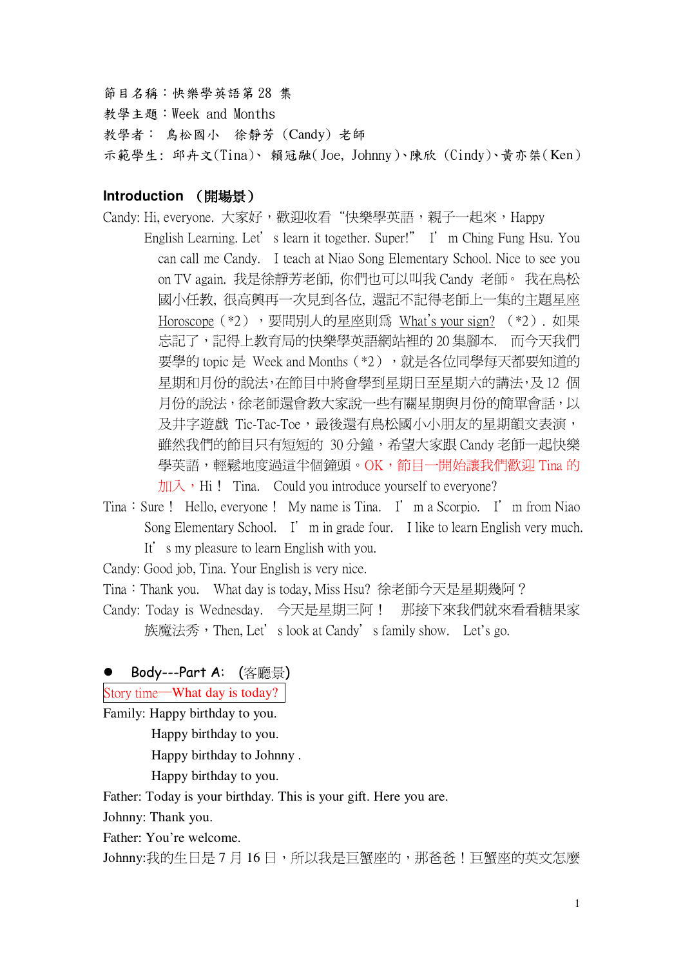節目名稱:快樂學英語第28集

教學主題:Week and Months

教學者: 鳥松國小 徐靜芳 (Candy) 老師

示範學生: 邱卉文(Tina)、賴冠融(Joe, Johnny)、陳欣 (Cindy)、黃亦桀(Ken)

## Introduction (開場景)

- Candy: Hi, everyone. 大家好,歡迎收看"快樂學英語,親子一起來,Happy English Learning. Let's learn it together. Super!" I'm Ching Fung Hsu. You can call me Candy. I teach at Niao Song Elementary School. Nice to see you on TV again. 我是徐靜芳老師, 你們也可以叫我 Candy 老師。我在鳥松 國小任教, 很高興再一次見到各位, 還記不記得老師上一集的主題星座 Horoscope (\*2), 要問別人的星座則為 What's vour sign? (\*2). 如果 忘記了,記得上教育局的快樂學英語網站裡的20集腳本. 而今天我們 要學的 topic 是 Week and Months (\*2), 就是各位同學每天都要知道的 星期和月份的說法,在節目中將會學到星期日至星期六的講法,及12個 月份的說法,徐老師還會教大家說一些有關星期與月份的簡單會話,以 及井字遊戲 Tic-Tac-Toe,最後還有鳥松國小小朋友的星期韻文表演, 雖然我們的節目只有短短的 30分鐘,希望大家跟 Candy 老師一起快樂 學英語,輕鬆地度過這半個鐘頭。OK,節目一開始讓我們歡迎 Tina 的  $\frac{1}{2}$  Mi  $\frac{1}{2}$  Tina. Could you introduce yourself to everyone?
- Tina: Sure ! Hello, everyone ! My name is Tina. I'm a Scorpio. I'm from Niao Song Elementary School. I' m in grade four. I like to learn English very much. It's my pleasure to learn English with you.

Candy: Good job, Tina. Your English is very nice.

Tina: Thank you. What day is today, Miss Hsu? 徐老師今天是星期幾阿?

Candy: Today is Wednesday. 今天是星期三阿! 那接下來我們就來看看糖果家 族魔法秀, Then, Let's look at Candy's family show. Let's go.

# Body---Part A: (客廳景)

Story time-What day is today?

Family: Happy birthday to you.

Happy birthday to you.

Happy birthday to Johnny.

Happy birthday to you.

Father: Today is your birthday. This is your gift. Here you are.

Johnny: Thank you.

Father: You're welcome.

Johnny:我的生日是7月16日,所以我是巨蟹座的,那爸爸!巨蟹座的英文怎麼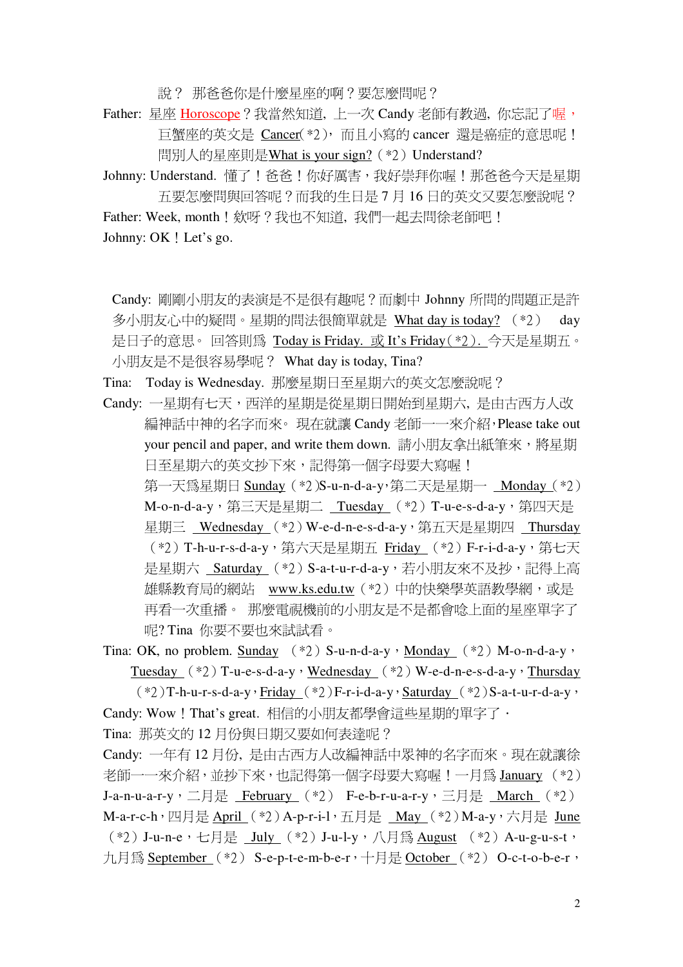說? 那爸爸你是什麼星座的啊?要怎麼問呢?

Father: 星座 Horoscope?我當然知道, 上一次 Candy 老師有教過, 你忘記了喔, 巨蟹座的英文是 Cancer(\*2), 而且小寫的 cancer 還是癌症的意思呢! 問別人的星座則是What is your sign? (\*2) Understand?

Johnny: Understand. 懂了!爸爸!你好厲害, 我好崇拜你喔!那爸爸今天是星期 五要怎麼問與回答呢?而我的生日是7月16日的英文又要怎麼說呢?

Father: Week, month ! 欸呀 ? 我也不知道, 我們一起去問徐老師吧 ! Johnny: OK ! Let's go.

Candy: 剛剛小朋友的表演是不是很有趣呢?而劇中 Johnny 所問的問題正是許 多小朋友心中的疑問。星期的問法很簡單就是 What day is today? (\*2) day 是日子的意思。回答則為 Today is Friday. 或 It's Friday(\*2). 今天是星期五。 小朋友是不是很容易學呢? What day is today, Tina?

Tina: Today is Wednesday. 那麼星期日至星期六的英文怎麼說呢?

Candy: 一星期有七天, 西洋的星期是從星期日開始到星期六, 是由古西方人改 編神話中神的名字而來。現在就讓 Candy 老師一一來介紹, Please take out your pencil and paper, and write them down. 請小朋友拿出紙筆來,將星期 日至星期六的英文抄下來,記得第一個字母要大寫喔! 第一天為星期日 Sunday (\*2)S-u-n-d-a-y,第二天是星期一 Monday (\*2) M-o-n-d-a-y, 第三天是星期二 Tuesday (\*2) T-u-e-s-d-a-y, 第四天是 晕期三 Wednesday (\*2) W-e-d-n-e-s-d-a-y, 第五天是星期四 Thursday (\*2) T-h-u-r-s-d-a-v, 第六天是星期五 Fridav (\*2) F-r-i-d-a-v, 第七天 是星期六 Saturday (\*2) S-a-t-u-r-d-a-y, 若小朋友來不及抄, 記得上高 雄縣教育局的網站 www.ks.edu.tw (\*2) 中的快樂學英語教學網, 或是 再看一次重播。 那麼電視機前的小朋友是不是都會唸上面的星座單字了

呢? Tina 你要不要也來試試看。

Tina: OK, no problem. Sunday  $(*2)$  S-u-n-d-a-y  $\cdot$  Monday  $(*2)$  M-o-n-d-a-y  $\cdot$ Tuesday  $(*2)$  T-u-e-s-d-a-y, Wednesday  $(*2)$  W-e-d-n-e-s-d-a-y, Thursday

 $(*2)$ T-h-u-r-s-d-a-y · Friday  $(*2)$ F-r-i-d-a-y · Saturday  $(*2)$ S-a-t-u-r-d-a-y · Candy: Wow ! That's great. 相信的小朋友都學會這些星期的單字了 ·

Tina: 那英文的 12 月份與日期又要如何表達呢?

Candy: 一年有12月份, 是由古西方人改編神話中眾神的名字而來。現在就讓徐 老師一一來介紹,並抄下來,也記得第一個字母要大寫喔!一月為 January (\*2) J-a-n-u-a-r-y, 二月是 February (\*2) F-e-b-r-u-a-r-y, 三月是 March (\*2) M-a-r-c-h, 四月是 April (\*2) A-p-r-i-l, 五月是 May (\*2) M-a-y, 六月是 June (\*2) J-u-n-e, 七月是 July (\*2) J-u-l-y, 八月為 August (\*2) A-u-g-u-s-t, 九月為 September (\*2) S-e-p-t-e-m-b-e-r, 十月是 October (\*2) O-c-t-o-b-e-r,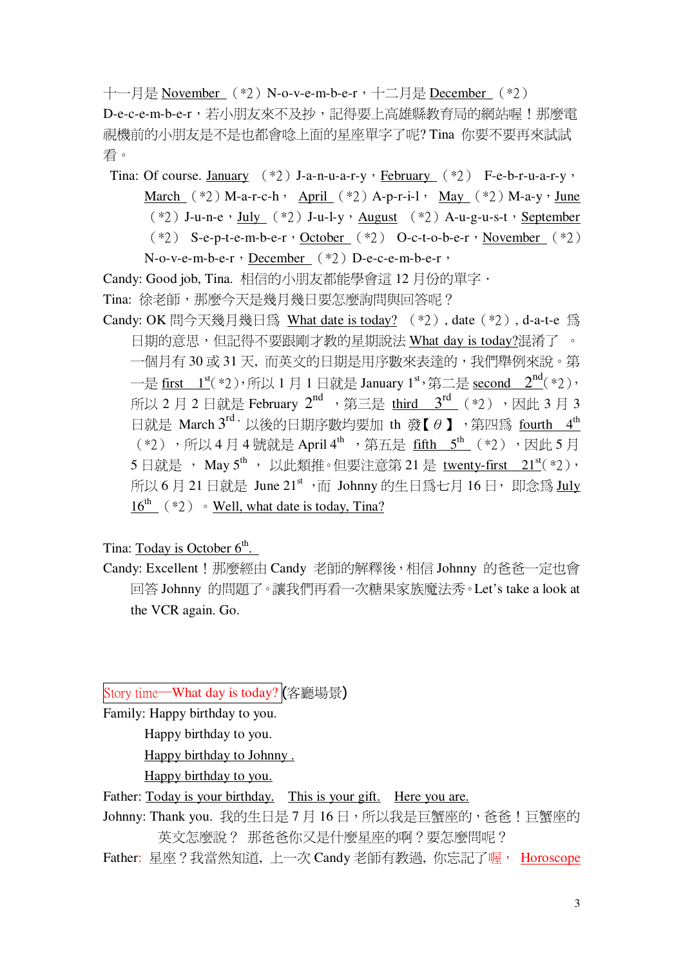十一月是 November (\*2) N-o-v-e-m-b-e-r, 十二月是 December (\*2) D-e-c-e-m-b-e-r,若小朋友來不及抄,記得要上高雄縣教育局的網站喔!那麼電 視機前的小朋友是不是也都會唸上面的星座單字了呢? Tina 你要不要再來試試 看。

Tina: Of course. January  $(*2)$  J-a-n-u-a-r-y  $\cdot$  February  $(*2)$  F-e-b-r-u-a-r-y  $\cdot$ March  $(*2)$  M-a-r-c-h · April  $(*2)$  A-p-r-i-l · May  $(*2)$  M-a-y · June  $(*2)$  J-u-n-e, <u>July</u>  $(*2)$  J-u-l-y, August  $(*2)$  A-u-g-u-s-t, September  $(*2)$  S-e-p-t-e-m-b-e-r, October  $(*2)$  O-c-t-o-b-e-r, November  $(*2)$ 

N-o-v-e-m-b-e-r, December (\*2) D-e-c-e-m-b-e-r,

Candy: Good job, Tina. 相信的小朋友都能學會這12月份的單字 ·

Tina: 徐老師, 那麼今天是幾月幾日要怎麼詢問與回答呢?

Candy: OK 問今天幾月幾日為 What date is today? (\*2), date (\*2), d-a-t-e 為 日期的意思,但記得不要跟剛才教的星期說法 What day is today?混淆了 。 一個月有30或31天,而英文的日期是用序數來表達的,我們舉例來說。第 一是 first  $1^{\text{st}}(*2)$ , 所以 1 月 1 日就是 January  $1^{\text{st}}$ , 第二是 second  $2^{\text{nd}}(*2)$ , 所以 2 月 2 日就是 February 2<sup>nd</sup> , 第三是 third 3<sup>rd</sup> (\*2) , 因此 3 月 3 日就是 March 3<sup>rd,</sup> 以後的日期序數均要加 th 發【 $\theta$  】, 第四為 fourth 4<sup>th</sup> (\*2), 所以4月4號就是 April 4<sup>th</sup>, 第五是 fifth 5<sup>th</sup> (\*2), 因此5月 5日就是, May 5<sup>th</sup>, 以此類推。但要注意第 21 是 twenty-first 21<sup>st</sup>(\*2), 所以 6 月 21 日就是 June 21st, 而 Johnny 的牛日為七月 16 日, 即念為 July  $16^{\text{th}}$  (\*2) • Well, what date is today, Tina?

Tina: Today is October  $6<sup>th</sup>$ .

Candy: Excellent ! 那麼經由 Candy 老師的解釋後, 相信 Johnny 的爸爸一定也會 回答 Johnny 的問題了。讓我們再看一次糖果家族魔法秀。Let's take a look at the VCR again. Go.

Story time – What day is today? (客廳場景)

Family: Happy birthday to you.

Happy birthday to you.

Happy birthday to Johnny.

Happy birthday to you.

Father: Today is your birthday. This is your gift. Here you are.

Johnny: Thank you. 我的生日是7月16日, 所以我是巨蟹座的, 爸爸!巨蟹座的 英文怎麼說? 那爸爸你又是什麼星座的啊?要怎麼問呢?

Father: 星座?我當然知道, 上一次 Candy 老師有教過, 你忘記了喔, Horoscope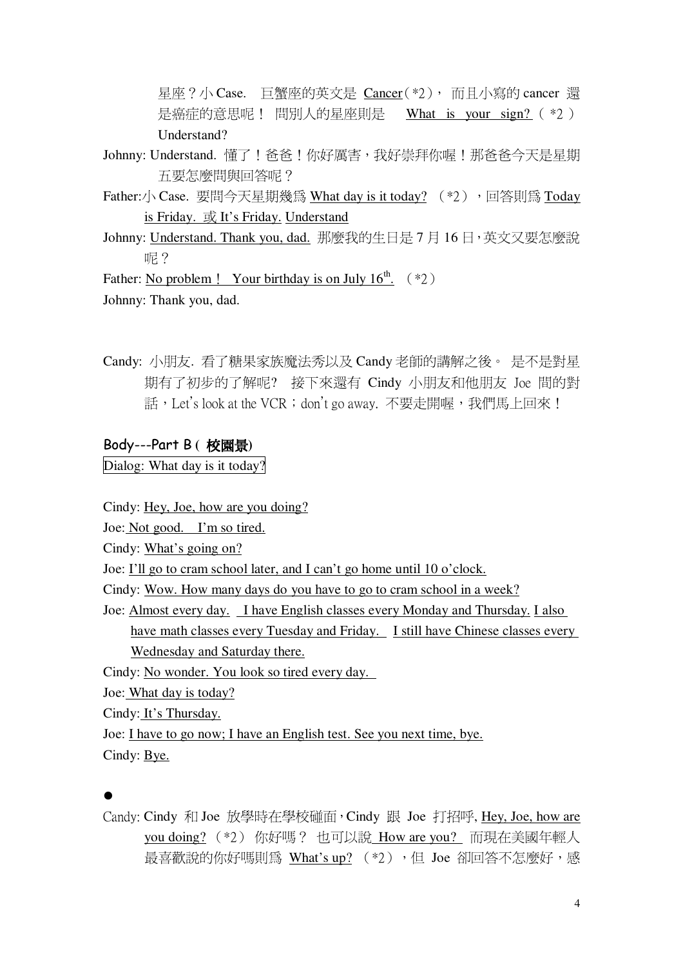星座?小 Case. 巨蟹座的英文是 Cancer(\*2), 而且小寫的 cancer 還 是癌症的意思呢! 問別人的星座則是 What is your sign? ( \*2 ) Understand?

- Johnny: Understand. 懂了!爸爸!你好厲害, 我好崇拜你喔!那爸爸今天是星期 五要怎麼問與回答呢?
- Father:/ Case. 要問今天星期幾為 What day is it today? (\*2), 回答則為 Today is Friday. 或 It's Friday. Understand
- Johnny: Understand. Thank you, dad. 那麼我的生日是7月16日, 英文又要怎麼說 呢?

Father: No problem ! Your birthday is on July  $16^{th}$ . (\*2)

Johnny: Thank you, dad.

Candy: 小朋友. 看了糖果家族魔法秀以及 Candy 老師的講解之後。 是不是對星 期有了初步的了解呢? 接下來還有 Cindy 小朋友和他朋友 Joe 間的對 話, Let's look at the VCR; don't go away. 不要走開喔, 我們馬上回來!

### Body---Part B (校園景)

Dialog: What day is it today?

Cindy: Hey, Joe, how are you doing?

Joe: Not good. I'm so tired.

Cindy: What's going on?

Joe: I'll go to cram school later, and I can't go home until 10 o'clock.

Cindy: Wow. How many days do you have to go to cram school in a week?

Joe: Almost every day. I have English classes every Monday and Thursday. I also have math classes every Tuesday and Friday. I still have Chinese classes every Wednesday and Saturday there.

Cindy: No wonder. You look so tired every day.

Joe: What day is today?

Cindy: It's Thursday.

Joe: I have to go now; I have an English test. See you next time, bye. Cindy: Bye.

Candy: Cindy 和 Joe 放學時在學校碰面, Cindy 跟 Joe 打招呼, Hey, Joe, how are you doing? (\*2) 你好嗎? 也可以說 How are you? 而現在美國年輕人 最喜歡說的你好嗎則為 What's up? (\*2), 但 Joe 卻回答不怎麼好,感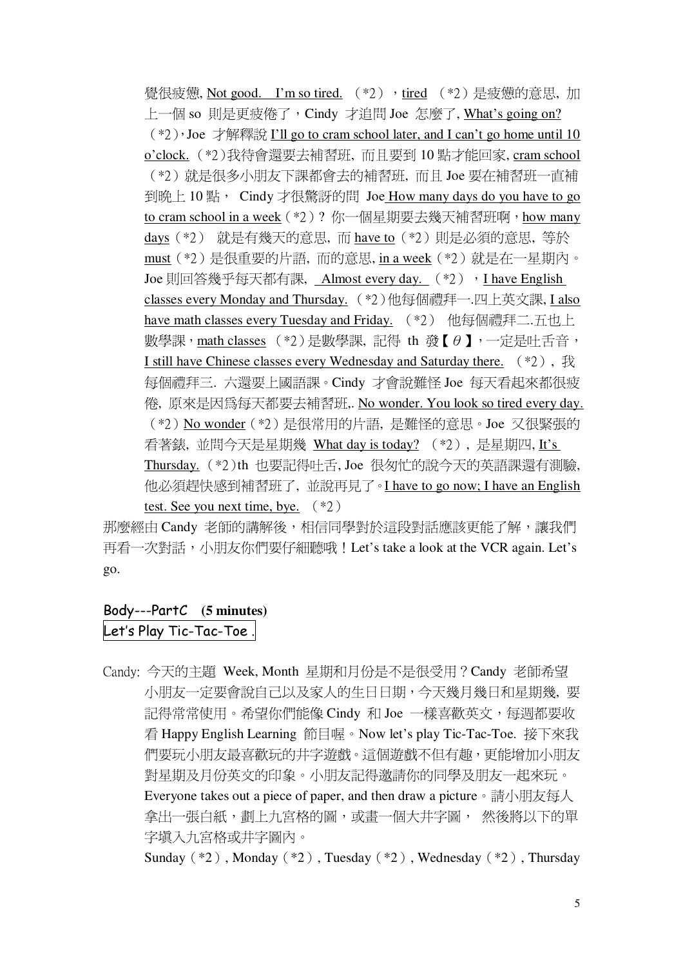覺很疲憊, Not good. I'm so tired. (\*2), tired (\*2)是疲憊的意思, 加 上一個 so 則是更疲倦了,Cindy 才追問 Joe 怎麼了, What's going on?  $(*2)$ , Joe 才解釋說 I'll go to cram school later, and I can't go home until 10 o'clock. (\*2)我待會還要去補習班, 而且要到 10點才能回家, cram school (\*2) 就是很多小朋友下課都會去的補習班, 而且 Joe 要在補習班一直補 到晚上10點, Cindy才很驚訝的問 Joe How many days do you have to go to cram school in a week (\*2)? 你一個星期要去幾天補習班啊, how many days (\*2) 就是有幾天的意思, 而 have to (\*2) 則是必須的意思, 等於 must (\*2) 是很重要的片語, 而的意思, in a week (\*2) 就是在一星期内。 Joe 則回答幾乎每天都有課, Almost every day. (\*2), I have English classes every Monday and Thursday. (\*2)他每個禮拜一.四上英文課, I also have math classes every Tuesday and Friday. (\*2) 他每個禮拜二.五也上 數學課, math classes  $(*)$ )是數學課, 記得 th 發【θ】, 一定是叶舌音, I still have Chinese classes every Wednesday and Saturday there.  $(*2)$ ,  $\overline{\mathcal{R}}$ 每個禮拜三. 六還要上國語課。Cindy 才會說難怪 Joe 每天看起來都很疲 倦, 原來是因爲每天都要去補習班,. No wonder. You look so tired every day. (\*2) No wonder (\*2) 是很常用的片語, 是難怪的意思。Joe 又很緊張的 看著錶, 並問今天是星期幾 What day is today? (\*2), 是星期四, It's Thursday. (\*2)th 也要記得吐舌, Joe 很匆忙的說今天的英語課還有測驗, 他必須趕快感到補習班了, 並說再見了。I have to go now; I have an English test. See you next time, bye.  $(*2)$ 

那麼經由 Candy 老師的講解後,相信同學對於這段對話應該更能了解,讓我們 再看一次對話,小朋友你們要仔細聽哦! Let's take a look at the VCR again. Let's go.

# Body---PartC (5 minutes) Let's Play Tic-Tac-Toe.

Candy: 今天的主題 Week, Month 星期和月份是不是很受用? Candy 老師希望 小朋友一定要會說自己以及家人的生日日期,今天幾月幾日和星期幾. 要 記得常常使用。希望你們能像 Cindy 和 Joe 一樣喜歡英文, 每週都要收 看 Happy English Learning 節目喔。Now let's play Tic-Tac-Toe. 接下來我 們要玩小朋友最喜歡玩的井字游戲。這個游戲不但有趣,更能增加小朋友 對星期及月份英文的印象。小朋友記得激請你的同學及朋友一起來玩。 Everyone takes out a piece of paper, and then draw a picture。請小朋友每人 拿出一張白紙,劃上九宮格的圖,或書一個大井字圖, 然後將以下的單 字埴入九宮格或井字圖內。

Sunday  $(*2)$ , Monday  $(*2)$ , Tuesday  $(*2)$ , Wednesday  $(*2)$ , Thursday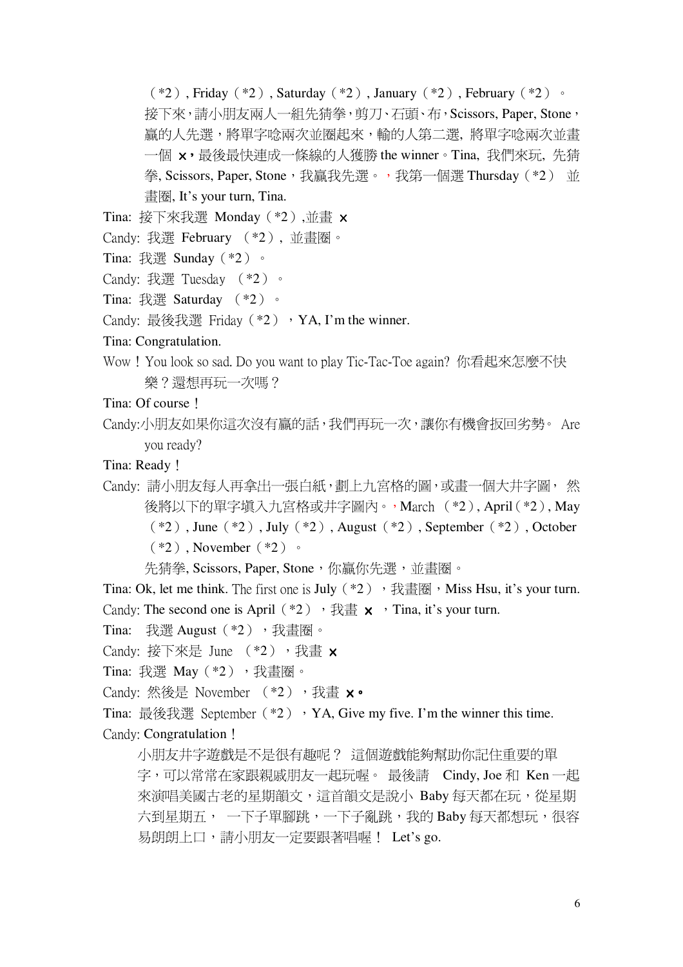$(*2)$ , Friday  $(*2)$ , Saturday  $(*2)$ , January  $(*2)$ , February  $(*2)$ . 接下來,請小朋友兩人一組先猜拳,剪刀、石頭、布, Scissors, Paper, Stone, 贏的人先選,將單字唸兩次並圈起來,輸的人第二選,將單字唸兩次並書 一個 x,最後最快連成一條線的人獲勝 the winner。Tina,我們來玩, 先猜 拳, Scissors, Paper, Stone, 我贏我先選。, 我第一個選 Thursday (\*2) 並 書圈, It's your turn, Tina.

- Tina: 接下來我選 Monday  $(*2)$ ,並畫  $\times$
- Candy: 我選 February (\*2), 並書圈。
- Tina: 我選 Sunday (\*2)。
- Candy: 我選 Tuesday (\*2)。
- Tina: 我選 Saturday (\*2)。
- Candy: 最後我選 Friday (\*2) , YA, I'm the winner.

### Tina: Congratulation.

Wow! You look so sad. Do you want to play Tic-Tac-Toe again? 你看起來怎麼不快 樂?還想再玩一次嗎?

Tina: Of course !

Candy:小朋友如果你這次沒有贏的話,我們再玩一次,讓你有機會扳回劣勢。 Are vou ready?

Tina: Ready !

Candv: 請小朋友每人再拿出一張白紙, 劃上九宮格的圖, 或書一個大井字圖, 然 後將以下的單字填入九宮格或井字圖內。, March (\*2), April(\*2), May  $(*2)$ , June  $(*2)$ , July  $(*2)$ , August  $(*2)$ , September  $(*2)$ , October  $(*2)$ . November  $(*2)$  .

先猜拳, Scissors, Paper, Stone, 你贏你先選, 並書圈。

Tina: Ok. let me think. The first one is July  $(*2)$ , 我書圈, Miss Hsu, it's vour turn. Candy: The second one is April (\*2)  $\cdot$   $\frac{1}{12} \times \cdot$  Tina, it's your turn.

Tina: 我選 August (\*2), 我書圈。

Candy: 接下來是 June  $(*2)$ , 我書 x

Tina: 我選 May (\*2), 我書圈。

Candy: 然後是 November (\*2), 我書 x。

Tina: 最後我選 September (\*2) , YA, Give my five. I'm the winner this time. Candy: Congratulation !

小朋友井字游戲是不是很有趣呢? 這個游戲能夠幫助你記住重要的單 字,可以常常在家跟親戚朋友一起玩喔。 最後請 Cindy, Joe 和 Ken 一起 來演唱美國古老的星期韻文,這首韻文是說小 Baby 每天都在玩,從星期 六到星期五,一下子單腳跳,一下子亂跳,我的 Baby 每天都想玩,很容 易朗朗上口,請小朋友一定要跟著唱喔! Let's go.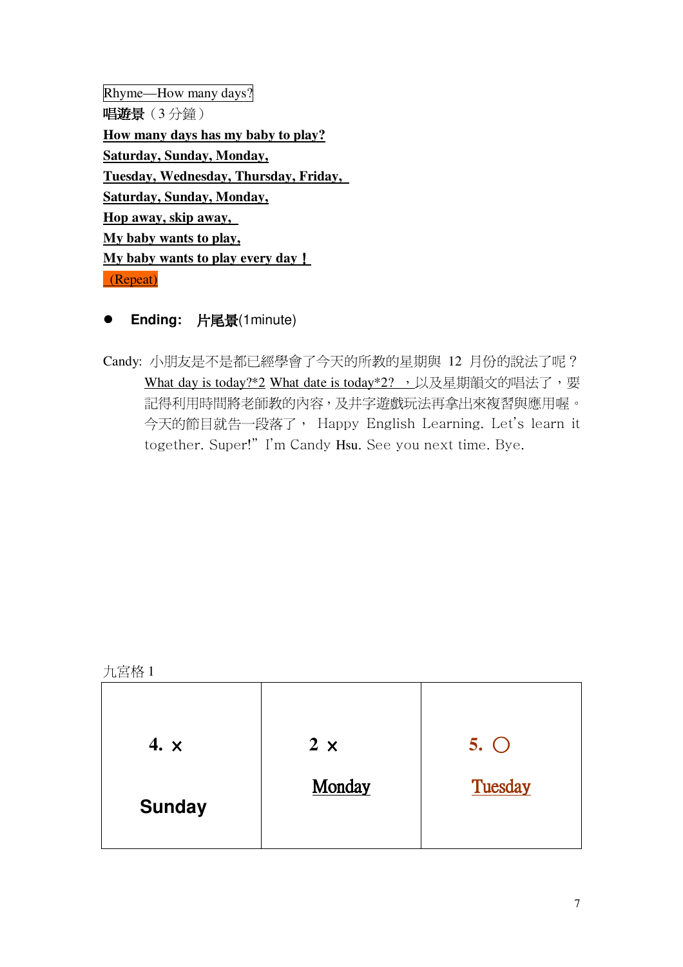Rhyme—How many days? 唱遊景(3分鐘) How many days has my baby to play? **Saturday, Sunday, Monday,** Tuesday, Wednesday, Thursday, Friday, Saturday, Sunday, Monday, Hop away, skip away, My baby wants to play, My baby wants to play every day ! (Repeat)

- **Ending: 片尾景(1minute)**
- Candy: 小朋友是不是都已經學會了今天的所教的星期與 12 月份的說法了呢? What day is today?\*2 What date is today\*2? , 以及星期韻文的唱法了, 要 記得利用時間將老師教的內容,及井字遊戲玩法再拿出來複習與應用喔。 今天的節目就告一段落了, Happy English Learning. Let's learn it together. Super!" I'm Candy Hsu. See you next time. Bye.

| 九宮格 | 1 |
|-----|---|
|     |   |

| 4. $\times$   | $2 \times$ | $5.$ $\bigcirc$ |
|---------------|------------|-----------------|
| <b>Sunday</b> | Monday     | Tuesday         |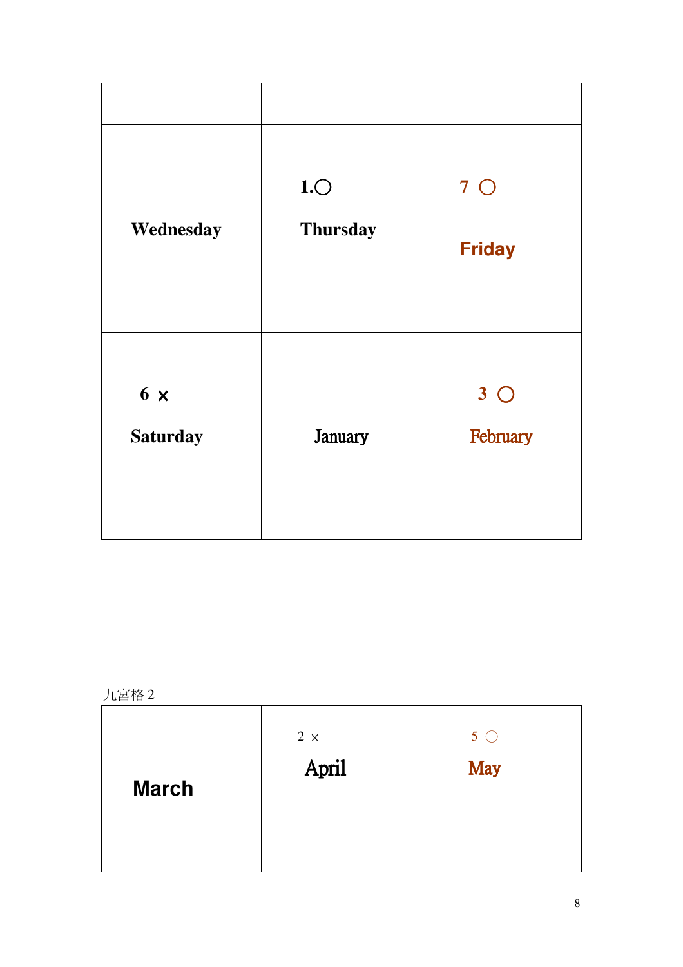| Wednesday                     | 1.0<br><b>Thursday</b> | $7^\circ$<br><b>Friday</b> |
|-------------------------------|------------------------|----------------------------|
| $6 \times$<br><b>Saturday</b> | <b>January</b>         | $3^\circ$<br>February      |

九宮格2